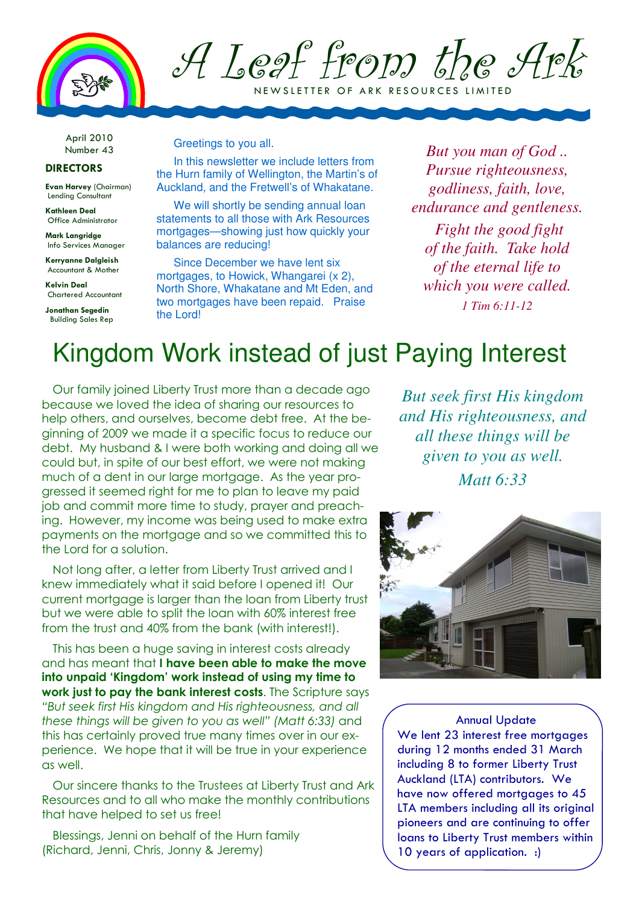

A Leaf from the Ark N E W SLETTER OF ARK RESOURCES LIMITED

April 2010 Number 43

## DIRECTORS

Evan Harvey (Chairman) Lending Consultant

Kathleen Deal Office Administrator

Mark Langridge Info Services Manager

Kerryanne Dalgleish Accountant & Mother

Kelvin Deal Chartered Accountant

Jonathan Segedin Building Sales Rep Greetings to you all.

In this newsletter we include letters from the Hurn family of Wellington, the Martin's of Auckland, and the Fretwell's of Whakatane.

We will shortly be sending annual loan statements to all those with Ark Resources mortgages—showing just how quickly your balances are reducing!

Since December we have lent six mortgages, to Howick, Whangarei (x 2), North Shore, Whakatane and Mt Eden, and two mortgages have been repaid. Praise the Lord!

*But you man of God .. Pursue righteousness, godliness, faith, love, endurance and gentleness.* 

 *Fight the good fight of the faith. Take hold of the eternal life to which you were called. 1 Tim 6:11-12* 

## Kingdom Work instead of just Paying Interest

Our family joined Liberty Trust more than a decade ago because we loved the idea of sharing our resources to help others, and ourselves, become debt free. At the beginning of 2009 we made it a specific focus to reduce our debt. My husband & I were both working and doing all we could but, in spite of our best effort, we were not making much of a dent in our large mortgage. As the year progressed it seemed right for me to plan to leave my paid job and commit more time to study, prayer and preaching. However, my income was being used to make extra payments on the mortgage and so we committed this to the Lord for a solution.

Not long after, a letter from Liberty Trust arrived and I knew immediately what it said before I opened it! Our current mortgage is larger than the loan from Liberty trust but we were able to split the loan with 60% interest free from the trust and 40% from the bank (with interest!).

This has been a huge saving in interest costs already and has meant that I have been able to make the move into unpaid 'Kingdom' work instead of using my time to work just to pay the bank interest costs. The Scripture says "But seek first His kingdom and His righteousness, and all these things will be given to you as well" (Matt 6:33) and this has certainly proved true many times over in our experience. We hope that it will be true in your experience as well.

Our sincere thanks to the Trustees at Liberty Trust and Ark Resources and to all who make the monthly contributions that have helped to set us free!

Blessings, Jenni on behalf of the Hurn family (Richard, Jenni, Chris, Jonny & Jeremy)

*But seek first His kingdom and His righteousness, and all these things will be given to you as well. Matt 6:33*



Annual Update We lent 23 interest free mortgages during 12 months ended 31 March including 8 to former Liberty Trust Auckland (LTA) contributors. We have now offered mortgages to 45 LTA members including all its original pioneers and are continuing to offer loans to Liberty Trust members within 10 years of application. :)